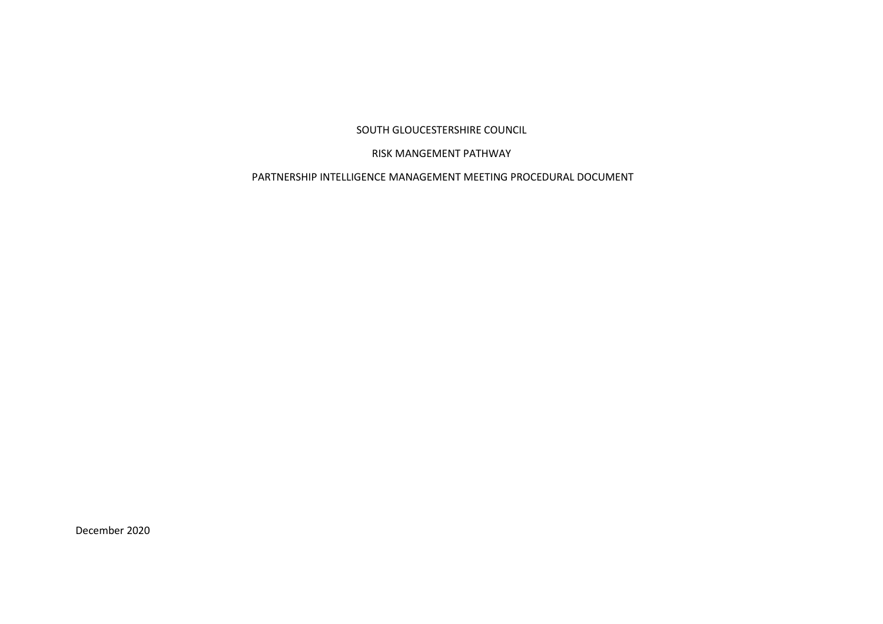SOUTH GLOUCESTERSHIRE COUNCIL

# RISK MANGEMENT PATHWAY

PARTNERSHIP INTELLIGENCE MANAGEMENT MEETING PROCEDURAL DOCUMENT

December 2020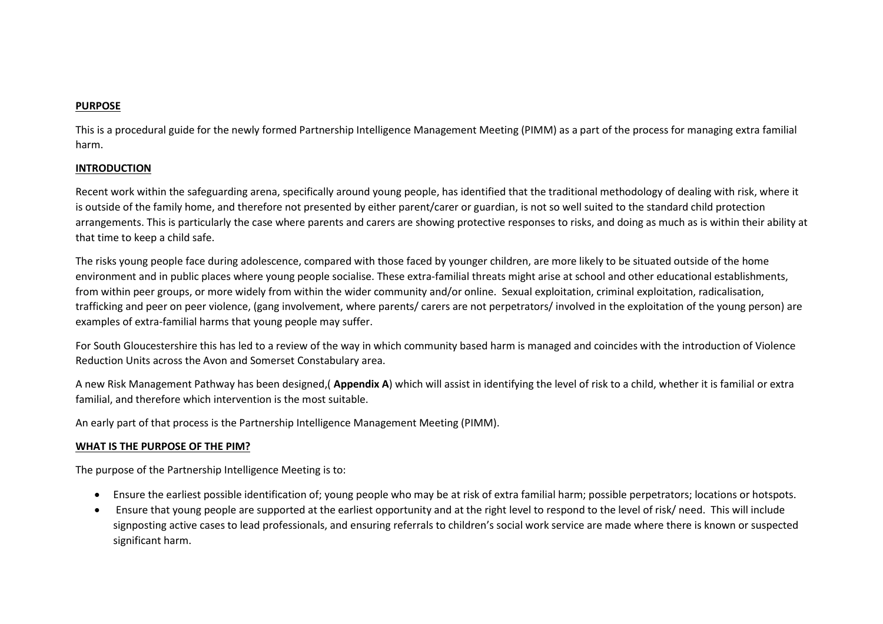## **PURPOSE**

This is a procedural guide for the newly formed Partnership Intelligence Management Meeting (PIMM) as a part of the process for managing extra familial harm.

## **INTRODUCTION**

Recent work within the safeguarding arena, specifically around young people, has identified that the traditional methodology of dealing with risk, where it is outside of the family home, and therefore not presented by either parent/carer or guardian, is not so well suited to the standard child protection arrangements. This is particularly the case where parents and carers are showing protective responses to risks, and doing as much as is within their ability at that time to keep a child safe.

The risks young people face during adolescence, compared with those faced by younger children, are more likely to be situated outside of the home environment and in public places where young people socialise. These extra-familial threats might arise at school and other educational establishments, from within peer groups, or more widely from within the wider community and/or online. Sexual exploitation, criminal exploitation, radicalisation, trafficking and peer on peer violence, (gang involvement, where parents/ carers are not perpetrators/ involved in the exploitation of the young person) are examples of extra-familial harms that young people may suffer.

For South Gloucestershire this has led to a review of the way in which community based harm is managed and coincides with the introduction of Violence Reduction Units across the Avon and Somerset Constabulary area.

A new Risk Management Pathway has been designed,( **Appendix A**) which will assist in identifying the level of risk to a child, whether it is familial or extra familial, and therefore which intervention is the most suitable.

An early part of that process is the Partnership Intelligence Management Meeting (PIMM).

## **WHAT IS THE PURPOSE OF THE PIM?**

The purpose of the Partnership Intelligence Meeting is to:

- Ensure the earliest possible identification of; young people who may be at risk of extra familial harm; possible perpetrators; locations or hotspots.
- Ensure that young people are supported at the earliest opportunity and at the right level to respond to the level of risk/ need. This will include signposting active cases to lead professionals, and ensuring referrals to children's social work service are made where there is known or suspected significant harm.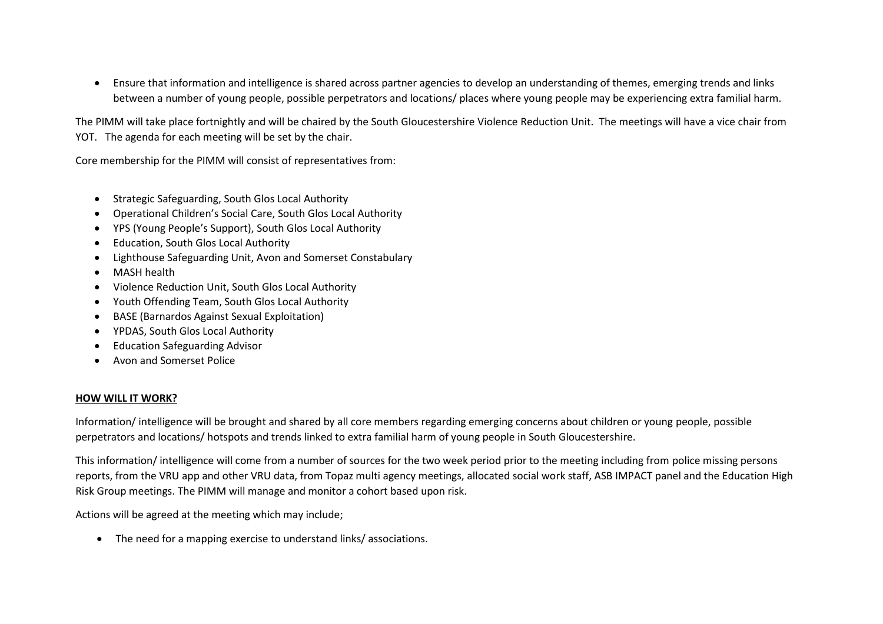• Ensure that information and intelligence is shared across partner agencies to develop an understanding of themes, emerging trends and links between a number of young people, possible perpetrators and locations/ places where young people may be experiencing extra familial harm.

The PIMM will take place fortnightly and will be chaired by the South Gloucestershire Violence Reduction Unit. The meetings will have a vice chair from YOT. The agenda for each meeting will be set by the chair.

Core membership for the PIMM will consist of representatives from:

- Strategic Safeguarding, South Glos Local Authority
- Operational Children's Social Care, South Glos Local Authority
- YPS (Young People's Support), South Glos Local Authority
- Education, South Glos Local Authority
- Lighthouse Safeguarding Unit, Avon and Somerset Constabulary
- MASH health
- Violence Reduction Unit, South Glos Local Authority
- Youth Offending Team, South Glos Local Authority
- BASE (Barnardos Against Sexual Exploitation)
- YPDAS, South Glos Local Authority
- Education Safeguarding Advisor
- Avon and Somerset Police

#### **HOW WILL IT WORK?**

Information/ intelligence will be brought and shared by all core members regarding emerging concerns about children or young people, possible perpetrators and locations/ hotspots and trends linked to extra familial harm of young people in South Gloucestershire.

This information/ intelligence will come from a number of sources for the two week period prior to the meeting including from police missing persons reports, from the VRU app and other VRU data, from Topaz multi agency meetings, allocated social work staff, ASB IMPACT panel and the Education High Risk Group meetings. The PIMM will manage and monitor a cohort based upon risk.

Actions will be agreed at the meeting which may include;

• The need for a mapping exercise to understand links/ associations.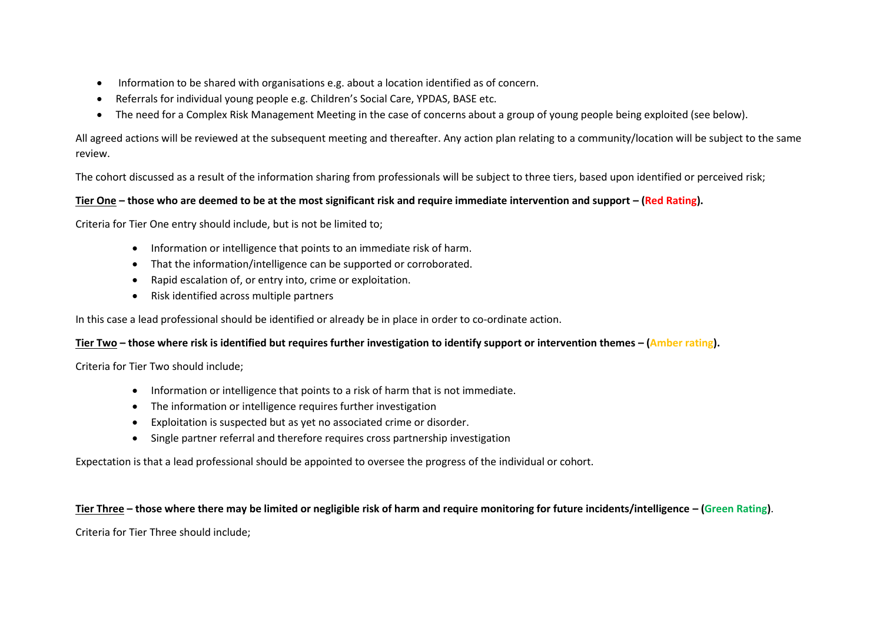- Information to be shared with organisations e.g. about a location identified as of concern.
- Referrals for individual young people e.g. Children's Social Care, YPDAS, BASE etc.
- The need for a Complex Risk Management Meeting in the case of concerns about a group of young people being exploited (see below).

All agreed actions will be reviewed at the subsequent meeting and thereafter. Any action plan relating to a community/location will be subject to the same review.

The cohort discussed as a result of the information sharing from professionals will be subject to three tiers, based upon identified or perceived risk;

# **Tier One – those who are deemed to be at the most significant risk and require immediate intervention and support – (Red Rating).**

Criteria for Tier One entry should include, but is not be limited to;

- Information or intelligence that points to an immediate risk of harm.
- That the information/intelligence can be supported or corroborated.
- Rapid escalation of, or entry into, crime or exploitation.
- Risk identified across multiple partners

In this case a lead professional should be identified or already be in place in order to co-ordinate action.

# **Tier Two – those where risk is identified but requires further investigation to identify support or intervention themes – (Amber rating).**

Criteria for Tier Two should include;

- Information or intelligence that points to a risk of harm that is not immediate.
- The information or intelligence requires further investigation
- Exploitation is suspected but as yet no associated crime or disorder.
- Single partner referral and therefore requires cross partnership investigation

Expectation is that a lead professional should be appointed to oversee the progress of the individual or cohort.

# **Tier Three – those where there may be limited or negligible risk of harm and require monitoring for future incidents/intelligence – (Green Rating)**.

Criteria for Tier Three should include;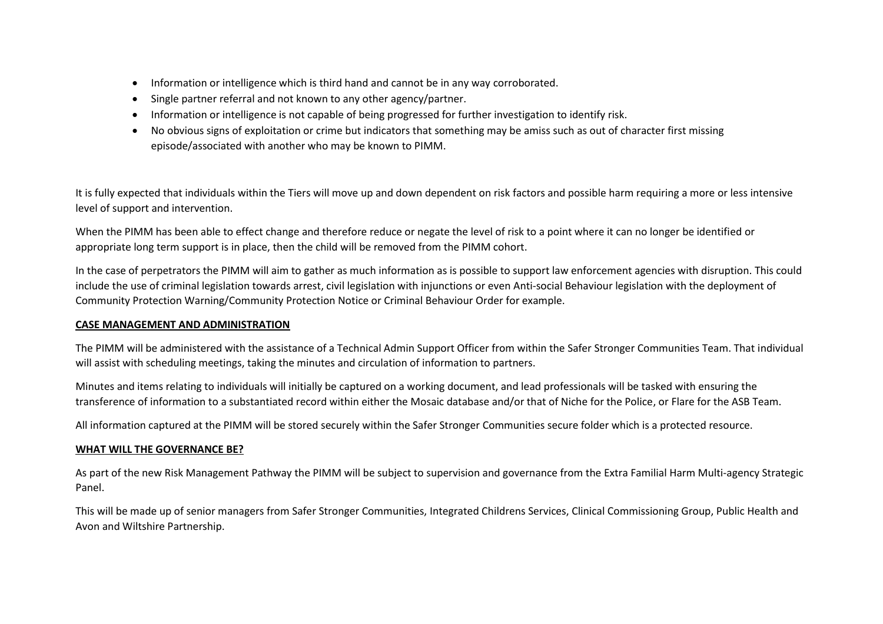- Information or intelligence which is third hand and cannot be in any way corroborated.
- Single partner referral and not known to any other agency/partner.
- Information or intelligence is not capable of being progressed for further investigation to identify risk.
- No obvious signs of exploitation or crime but indicators that something may be amiss such as out of character first missing episode/associated with another who may be known to PIMM.

It is fully expected that individuals within the Tiers will move up and down dependent on risk factors and possible harm requiring a more or less intensive level of support and intervention.

When the PIMM has been able to effect change and therefore reduce or negate the level of risk to a point where it can no longer be identified or appropriate long term support is in place, then the child will be removed from the PIMM cohort.

In the case of perpetrators the PIMM will aim to gather as much information as is possible to support law enforcement agencies with disruption. This could include the use of criminal legislation towards arrest, civil legislation with injunctions or even Anti-social Behaviour legislation with the deployment of Community Protection Warning/Community Protection Notice or Criminal Behaviour Order for example.

## **CASE MANAGEMENT AND ADMINISTRATION**

The PIMM will be administered with the assistance of a Technical Admin Support Officer from within the Safer Stronger Communities Team. That individual will assist with scheduling meetings, taking the minutes and circulation of information to partners.

Minutes and items relating to individuals will initially be captured on a working document, and lead professionals will be tasked with ensuring the transference of information to a substantiated record within either the Mosaic database and/or that of Niche for the Police, or Flare for the ASB Team.

All information captured at the PIMM will be stored securely within the Safer Stronger Communities secure folder which is a protected resource.

## **WHAT WILL THE GOVERNANCE BE?**

As part of the new Risk Management Pathway the PIMM will be subject to supervision and governance from the Extra Familial Harm Multi-agency Strategic Panel.

This will be made up of senior managers from Safer Stronger Communities, Integrated Childrens Services, Clinical Commissioning Group, Public Health and Avon and Wiltshire Partnership.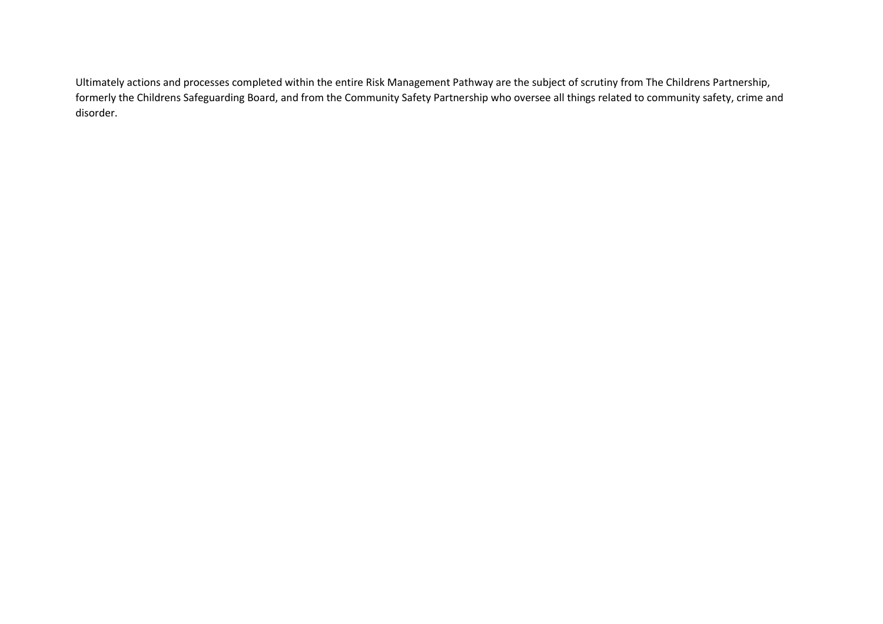Ultimately actions and processes completed within the entire Risk Management Pathway are the subject of scrutiny from The Childrens Partnership, formerly the Childrens Safeguarding Board, and from the Community Safety Partnership who oversee all things related to community safety, crime and disorder.